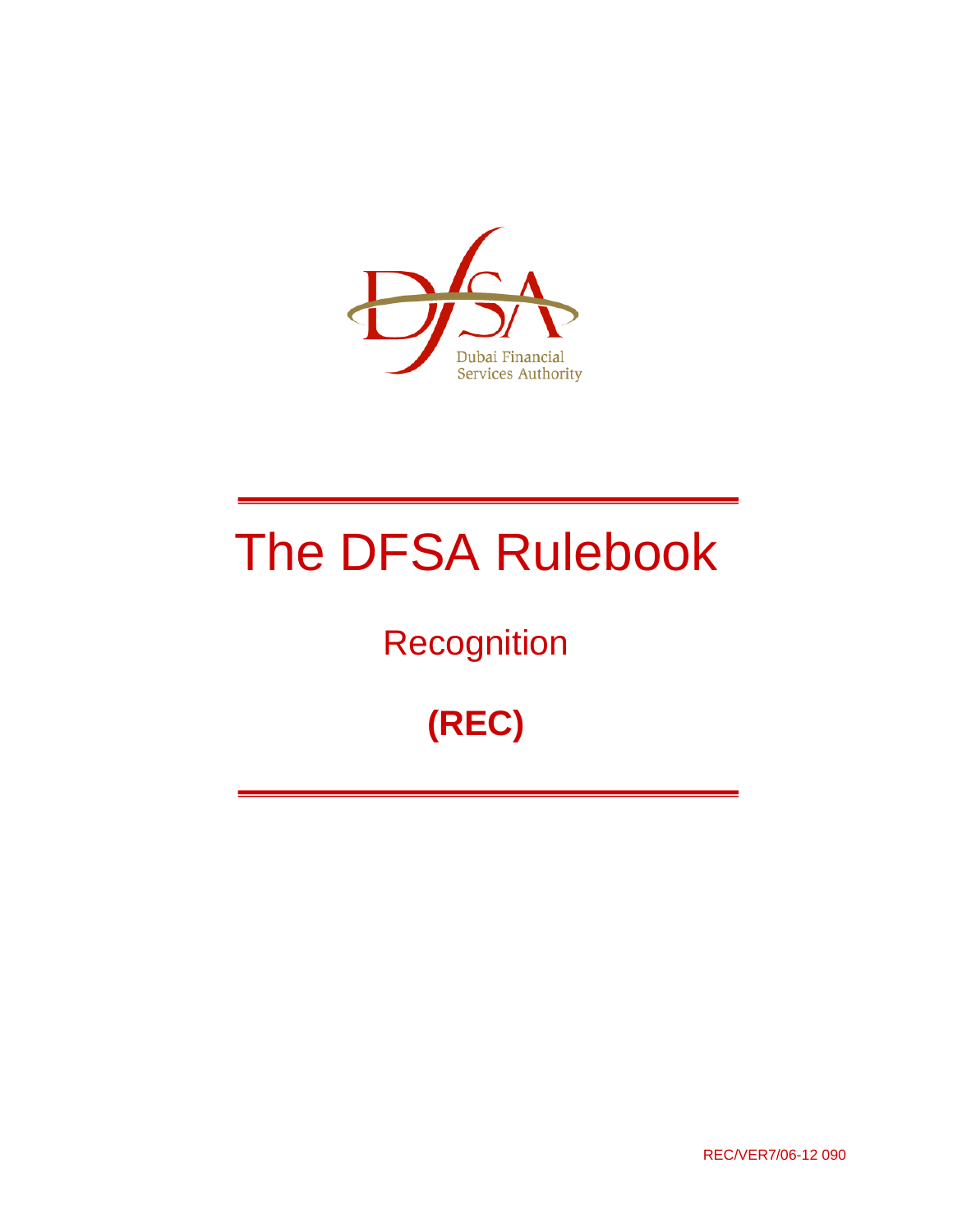

# The DFSA Rulebook

## **Recognition**

## **(REC)**

REC/VER7/06-12 090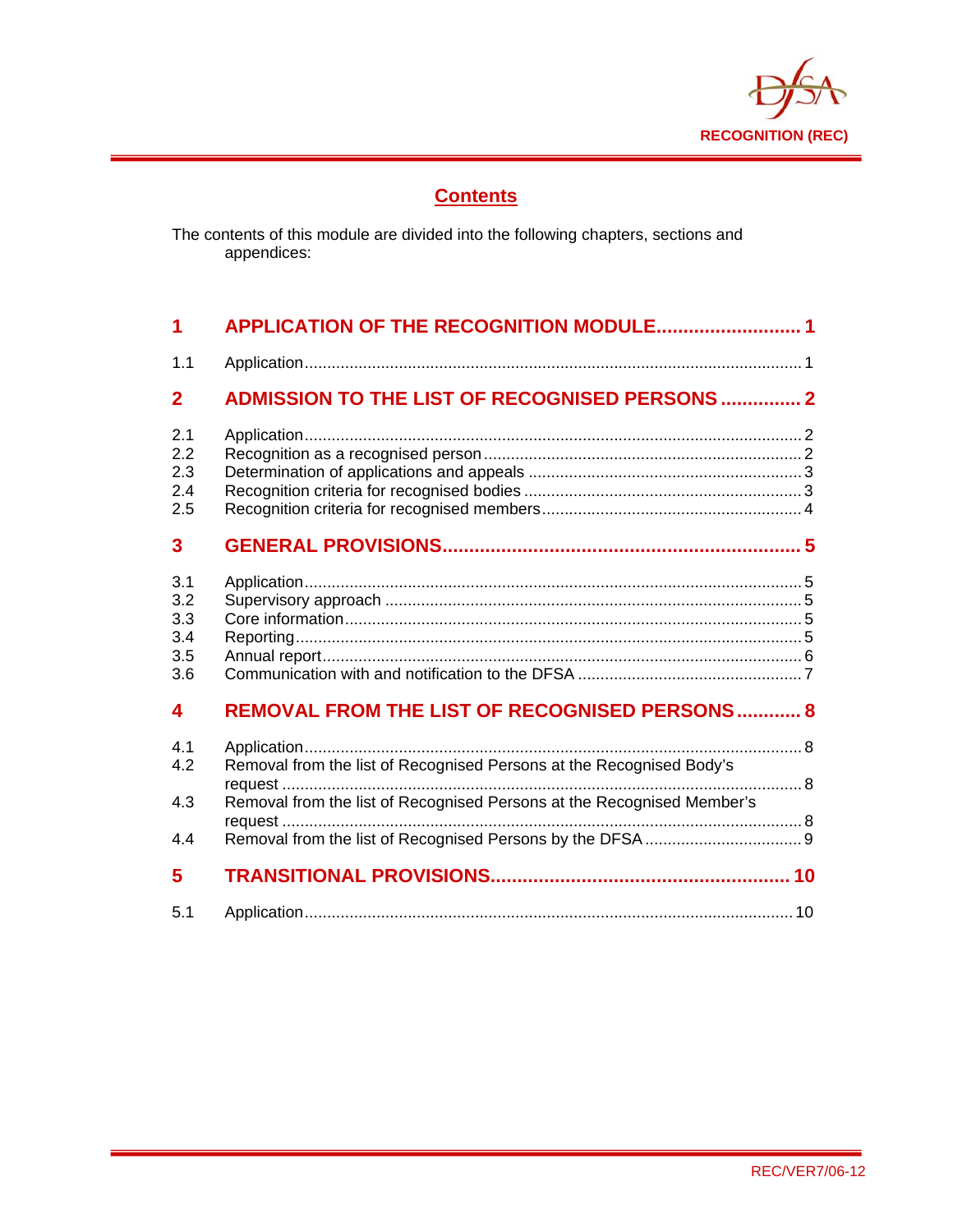

## **Contents**

The contents of this module are divided into the following chapters, sections and appendices:

| 1                                      | <b>APPLICATION OF THE RECOGNITION MODULE 1</b>                                                                                                        |  |
|----------------------------------------|-------------------------------------------------------------------------------------------------------------------------------------------------------|--|
| 1.1                                    |                                                                                                                                                       |  |
| $\mathbf{2}$                           | <b>ADMISSION TO THE LIST OF RECOGNISED PERSONS  2</b>                                                                                                 |  |
| 2.1<br>2.2<br>2.3<br>2.4<br>2.5        |                                                                                                                                                       |  |
| 3                                      |                                                                                                                                                       |  |
| 3.1<br>3.2<br>3.3<br>3.4<br>3.5<br>3.6 |                                                                                                                                                       |  |
| 4                                      | <b>REMOVAL FROM THE LIST OF RECOGNISED PERSONS 8</b>                                                                                                  |  |
| 4.1<br>4.2<br>4.3<br>4.4               | . 8<br>Removal from the list of Recognised Persons at the Recognised Body's<br>Removal from the list of Recognised Persons at the Recognised Member's |  |
| 5                                      |                                                                                                                                                       |  |
| 5.1                                    |                                                                                                                                                       |  |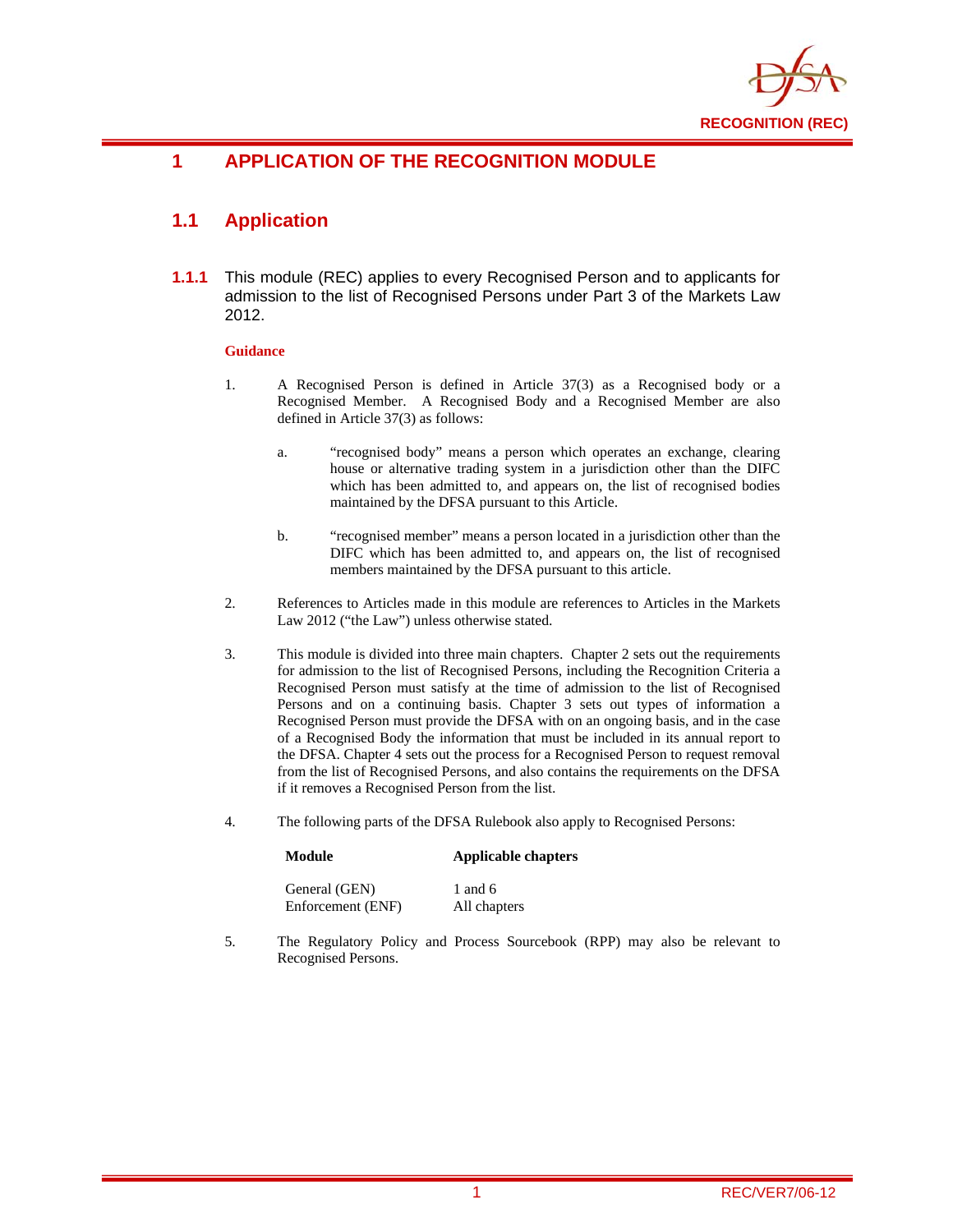

## **1 APPLICATION OF THE RECOGNITION MODULE**

## **1.1 Application**

**1.1.1** This module (REC) applies to every Recognised Person and to applicants for admission to the list of Recognised Persons under Part 3 of the Markets Law 2012.

#### **Guidance**

- 1. A Recognised Person is defined in Article 37(3) as a Recognised body or a Recognised Member. A Recognised Body and a Recognised Member are also defined in Article 37(3) as follows:
	- a. "recognised body" means a person which operates an exchange, clearing house or alternative trading system in a jurisdiction other than the DIFC which has been admitted to, and appears on, the list of recognised bodies maintained by the DFSA pursuant to this Article.
	- b. "recognised member" means a person located in a jurisdiction other than the DIFC which has been admitted to, and appears on, the list of recognised members maintained by the DFSA pursuant to this article.
- 2. References to Articles made in this module are references to Articles in the Markets Law 2012 ("the Law") unless otherwise stated.
- 3. This module is divided into three main chapters. Chapter 2 sets out the requirements for admission to the list of Recognised Persons, including the Recognition Criteria a Recognised Person must satisfy at the time of admission to the list of Recognised Persons and on a continuing basis. Chapter 3 sets out types of information a Recognised Person must provide the DFSA with on an ongoing basis, and in the case of a Recognised Body the information that must be included in its annual report to the DFSA. Chapter 4 sets out the process for a Recognised Person to request removal from the list of Recognised Persons, and also contains the requirements on the DFSA if it removes a Recognised Person from the list.
- 4. The following parts of the DFSA Rulebook also apply to Recognised Persons:

#### **Module Applicable chapters**  General (GEN) 1 and 6 Enforcement (ENF) All chapters

5. The Regulatory Policy and Process Sourcebook (RPP) may also be relevant to Recognised Persons.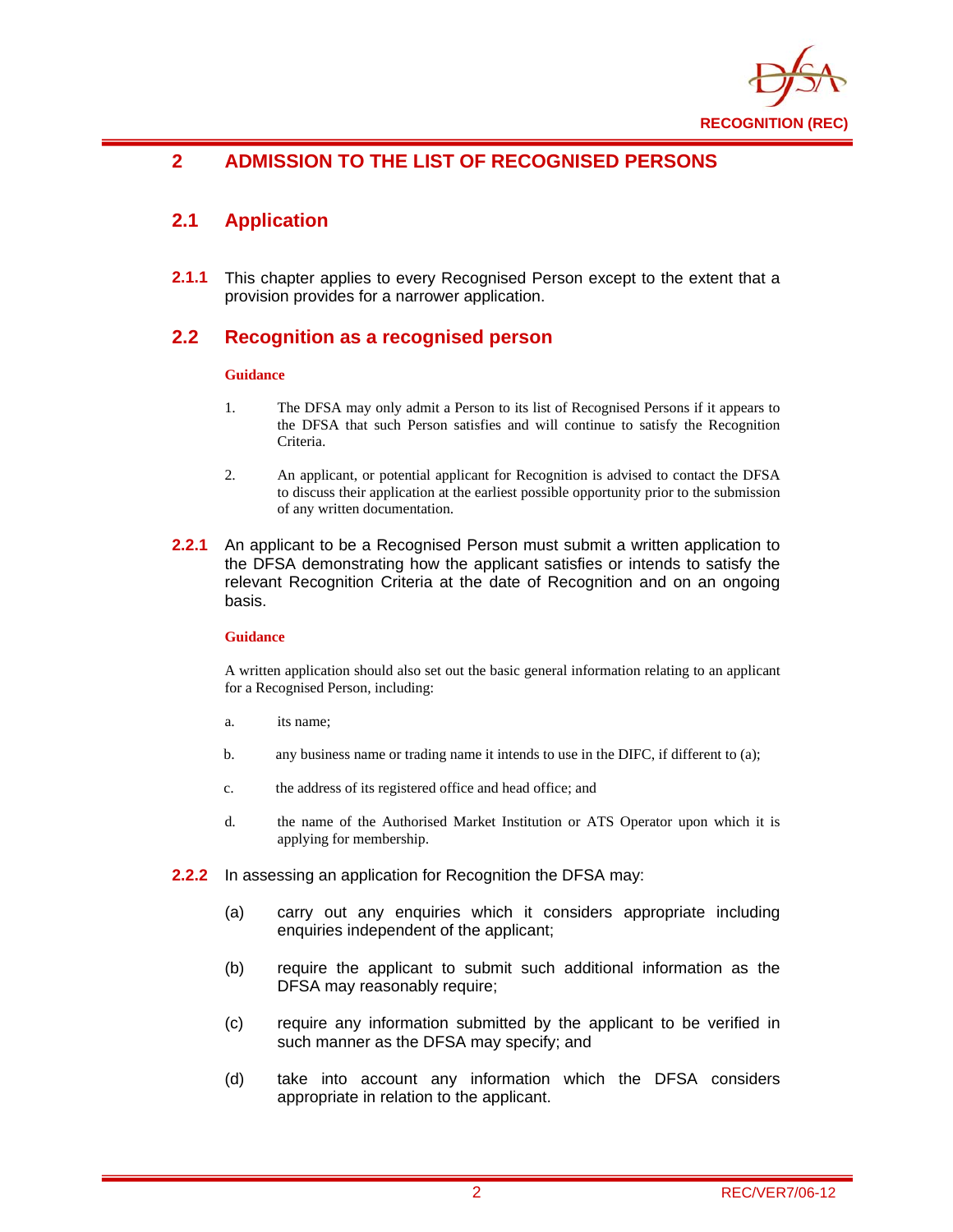

## **2 ADMISSION TO THE LIST OF RECOGNISED PERSONS**

## **2.1 Application**

**2.1.1** This chapter applies to every Recognised Person except to the extent that a provision provides for a narrower application.

#### **2.2 Recognition as a recognised person**

#### **Guidance**

- 1. The DFSA may only admit a Person to its list of Recognised Persons if it appears to the DFSA that such Person satisfies and will continue to satisfy the Recognition Criteria.
- 2. An applicant, or potential applicant for Recognition is advised to contact the DFSA to discuss their application at the earliest possible opportunity prior to the submission of any written documentation.
- **2.2.1** An applicant to be a Recognised Person must submit a written application to the DFSA demonstrating how the applicant satisfies or intends to satisfy the relevant Recognition Criteria at the date of Recognition and on an ongoing basis.

#### **Guidance**

A written application should also set out the basic general information relating to an applicant for a Recognised Person, including:

- a. its name;
- b. any business name or trading name it intends to use in the DIFC, if different to (a);
- c. the address of its registered office and head office; and
- d. the name of the Authorised Market Institution or ATS Operator upon which it is applying for membership.
- **2.2.2** In assessing an application for Recognition the DFSA may:
	- (a) carry out any enquiries which it considers appropriate including enquiries independent of the applicant;
	- (b) require the applicant to submit such additional information as the DFSA may reasonably require;
	- (c) require any information submitted by the applicant to be verified in such manner as the DFSA may specify; and
	- (d) take into account any information which the DFSA considers appropriate in relation to the applicant.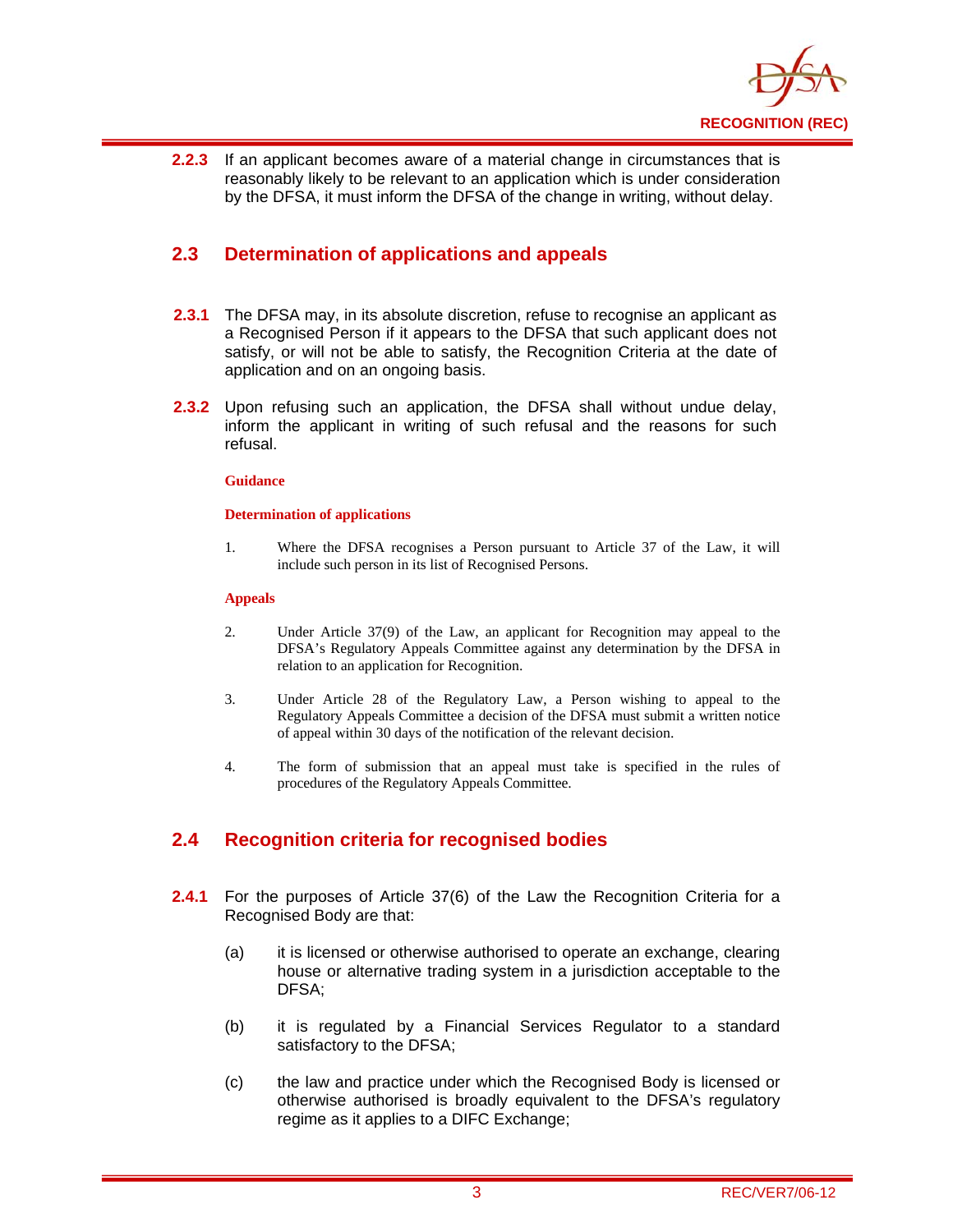

**2.2.3** If an applicant becomes aware of a material change in circumstances that is reasonably likely to be relevant to an application which is under consideration by the DFSA, it must inform the DFSA of the change in writing, without delay.

#### **2.3 Determination of applications and appeals**

- **2.3.1** The DFSA may, in its absolute discretion, refuse to recognise an applicant as a Recognised Person if it appears to the DFSA that such applicant does not satisfy, or will not be able to satisfy, the Recognition Criteria at the date of application and on an ongoing basis.
- **2.3.2** Upon refusing such an application, the DFSA shall without undue delay, inform the applicant in writing of such refusal and the reasons for such refusal.

#### **Guidance**

#### **Determination of applications**

1. Where the DFSA recognises a Person pursuant to Article 37 of the Law, it will include such person in its list of Recognised Persons.

#### **Appeals**

- 2. Under Article 37(9) of the Law, an applicant for Recognition may appeal to the DFSA's Regulatory Appeals Committee against any determination by the DFSA in relation to an application for Recognition.
- 3. Under Article 28 of the Regulatory Law, a Person wishing to appeal to the Regulatory Appeals Committee a decision of the DFSA must submit a written notice of appeal within 30 days of the notification of the relevant decision.
- 4. The form of submission that an appeal must take is specified in the rules of procedures of the Regulatory Appeals Committee.

#### **2.4 Recognition criteria for recognised bodies**

- **2.4.1** For the purposes of Article 37(6) of the Law the Recognition Criteria for a Recognised Body are that:
	- (a) it is licensed or otherwise authorised to operate an exchange, clearing house or alternative trading system in a jurisdiction acceptable to the DFSA;
	- (b) it is regulated by a Financial Services Regulator to a standard satisfactory to the DFSA;
	- (c) the law and practice under which the Recognised Body is licensed or otherwise authorised is broadly equivalent to the DFSA's regulatory regime as it applies to a DIFC Exchange;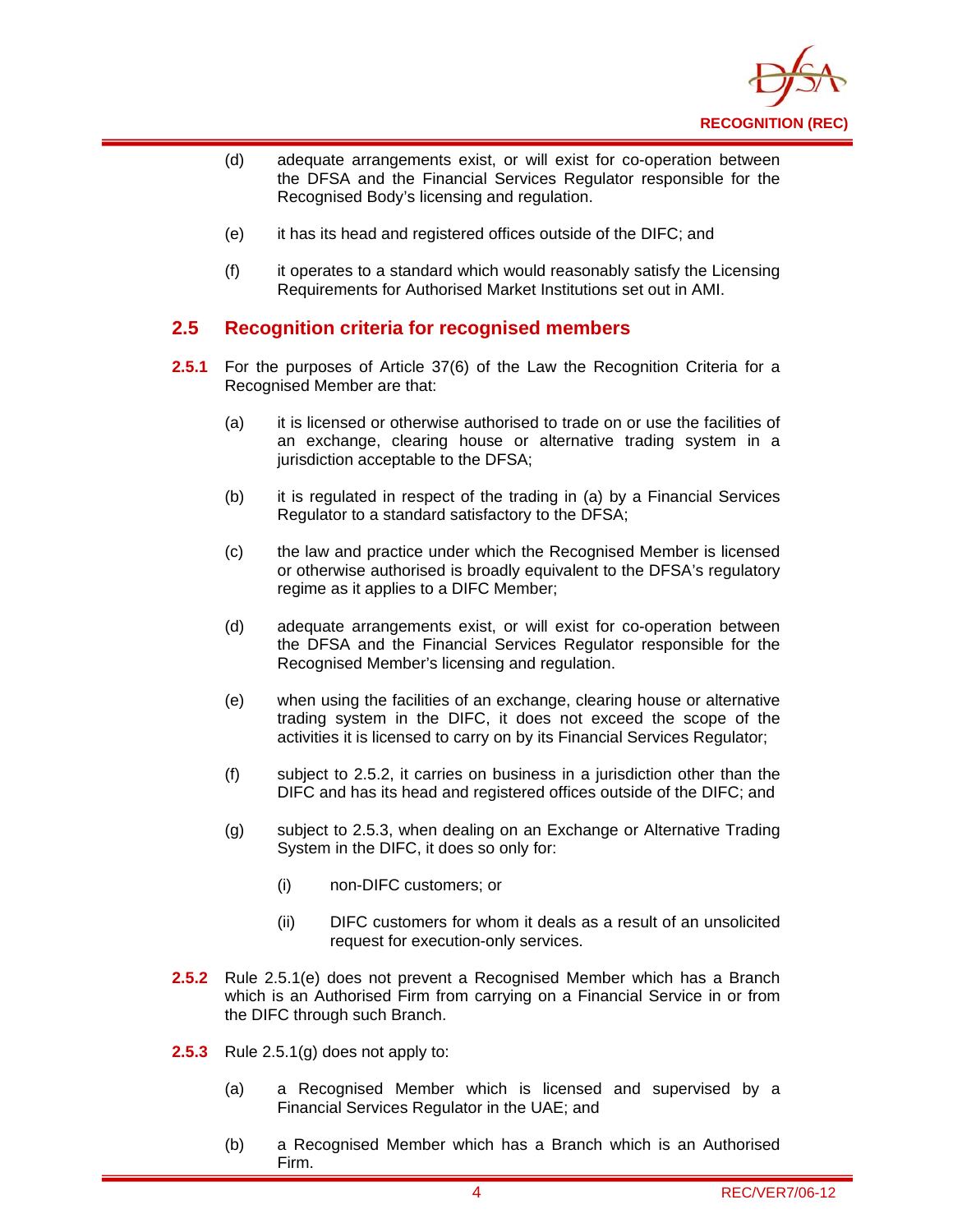

- (d) adequate arrangements exist, or will exist for co-operation between the DFSA and the Financial Services Regulator responsible for the Recognised Body's licensing and regulation.
- (e) it has its head and registered offices outside of the DIFC; and
- (f) it operates to a standard which would reasonably satisfy the Licensing Requirements for Authorised Market Institutions set out in AMI.

#### **2.5 Recognition criteria for recognised members**

- **2.5.1** For the purposes of Article 37(6) of the Law the Recognition Criteria for a Recognised Member are that:
	- (a) it is licensed or otherwise authorised to trade on or use the facilities of an exchange, clearing house or alternative trading system in a jurisdiction acceptable to the DFSA;
	- (b) it is regulated in respect of the trading in (a) by a Financial Services Regulator to a standard satisfactory to the DFSA;
	- (c) the law and practice under which the Recognised Member is licensed or otherwise authorised is broadly equivalent to the DFSA's regulatory regime as it applies to a DIFC Member;
	- (d) adequate arrangements exist, or will exist for co-operation between the DFSA and the Financial Services Regulator responsible for the Recognised Member's licensing and regulation.
	- (e) when using the facilities of an exchange, clearing house or alternative trading system in the DIFC, it does not exceed the scope of the activities it is licensed to carry on by its Financial Services Regulator;
	- (f) subject to 2.5.2, it carries on business in a jurisdiction other than the DIFC and has its head and registered offices outside of the DIFC; and
	- (g) subject to 2.5.3, when dealing on an Exchange or Alternative Trading System in the DIFC, it does so only for:
		- (i) non-DIFC customers; or
		- (ii) DIFC customers for whom it deals as a result of an unsolicited request for execution-only services.
- **2.5.2** Rule 2.5.1(e) does not prevent a Recognised Member which has a Branch which is an Authorised Firm from carrying on a Financial Service in or from the DIFC through such Branch.
- **2.5.3** Rule 2.5.1(g) does not apply to:
	- (a) a Recognised Member which is licensed and supervised by a Financial Services Regulator in the UAE; and
	- (b) a Recognised Member which has a Branch which is an Authorised Firm.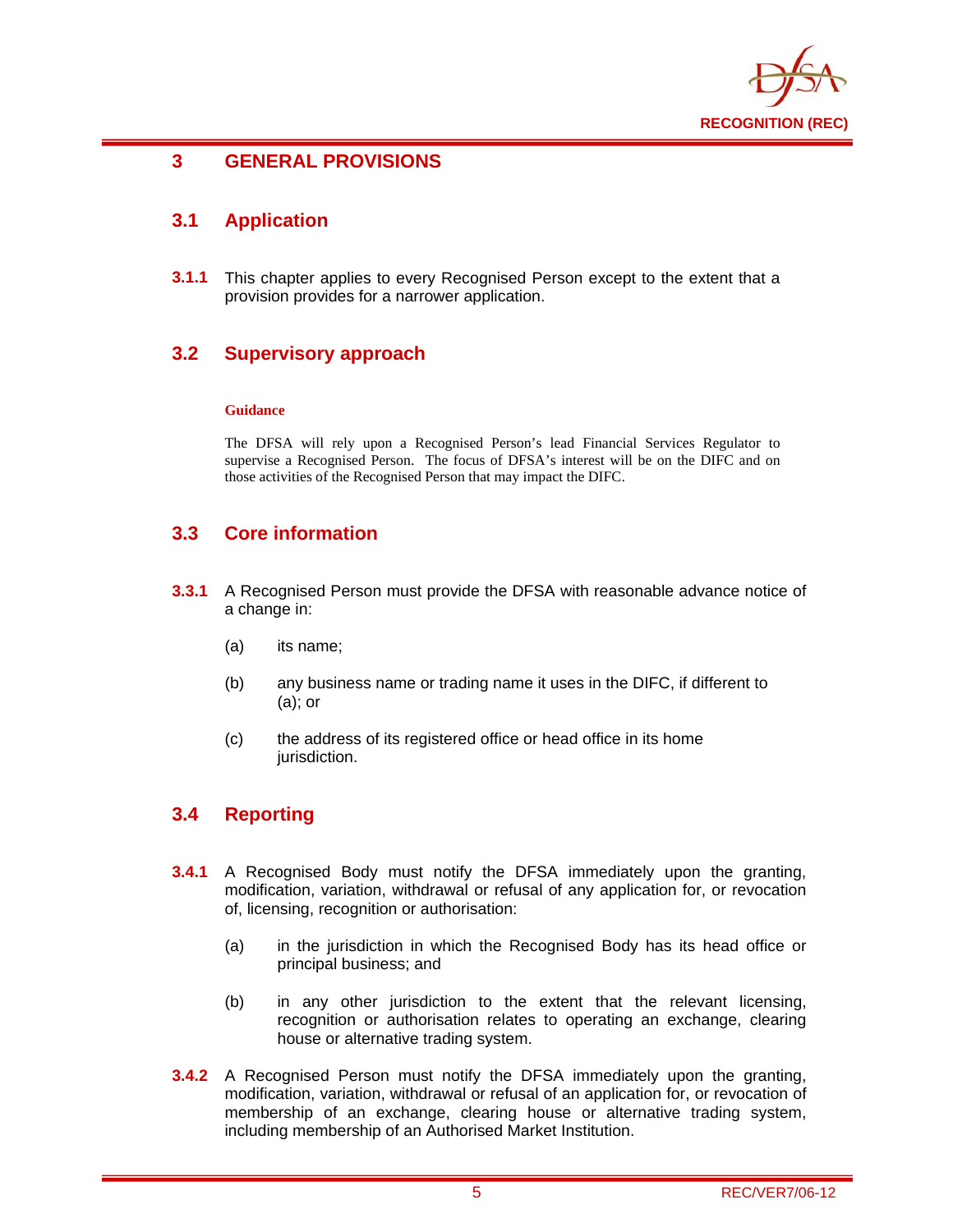

#### **3 GENERAL PROVISIONS**

### **3.1 Application**

**3.1.1** This chapter applies to every Recognised Person except to the extent that a provision provides for a narrower application.

#### **3.2 Supervisory approach**

#### **Guidance**

The DFSA will rely upon a Recognised Person's lead Financial Services Regulator to supervise a Recognised Person. The focus of DFSA's interest will be on the DIFC and on those activities of the Recognised Person that may impact the DIFC.

#### **3.3 Core information**

- **3.3.1** A Recognised Person must provide the DFSA with reasonable advance notice of a change in:
	- (a) its name;
	- (b) any business name or trading name it uses in the DIFC, if different to (a); or
	- (c) the address of its registered office or head office in its home jurisdiction.

#### **3.4 Reporting**

- **3.4.1** A Recognised Body must notify the DFSA immediately upon the granting, modification, variation, withdrawal or refusal of any application for, or revocation of, licensing, recognition or authorisation:
	- (a) in the jurisdiction in which the Recognised Body has its head office or principal business; and
	- (b) in any other jurisdiction to the extent that the relevant licensing, recognition or authorisation relates to operating an exchange, clearing house or alternative trading system.
- **3.4.2** A Recognised Person must notify the DFSA immediately upon the granting, modification, variation, withdrawal or refusal of an application for, or revocation of membership of an exchange, clearing house or alternative trading system, including membership of an Authorised Market Institution.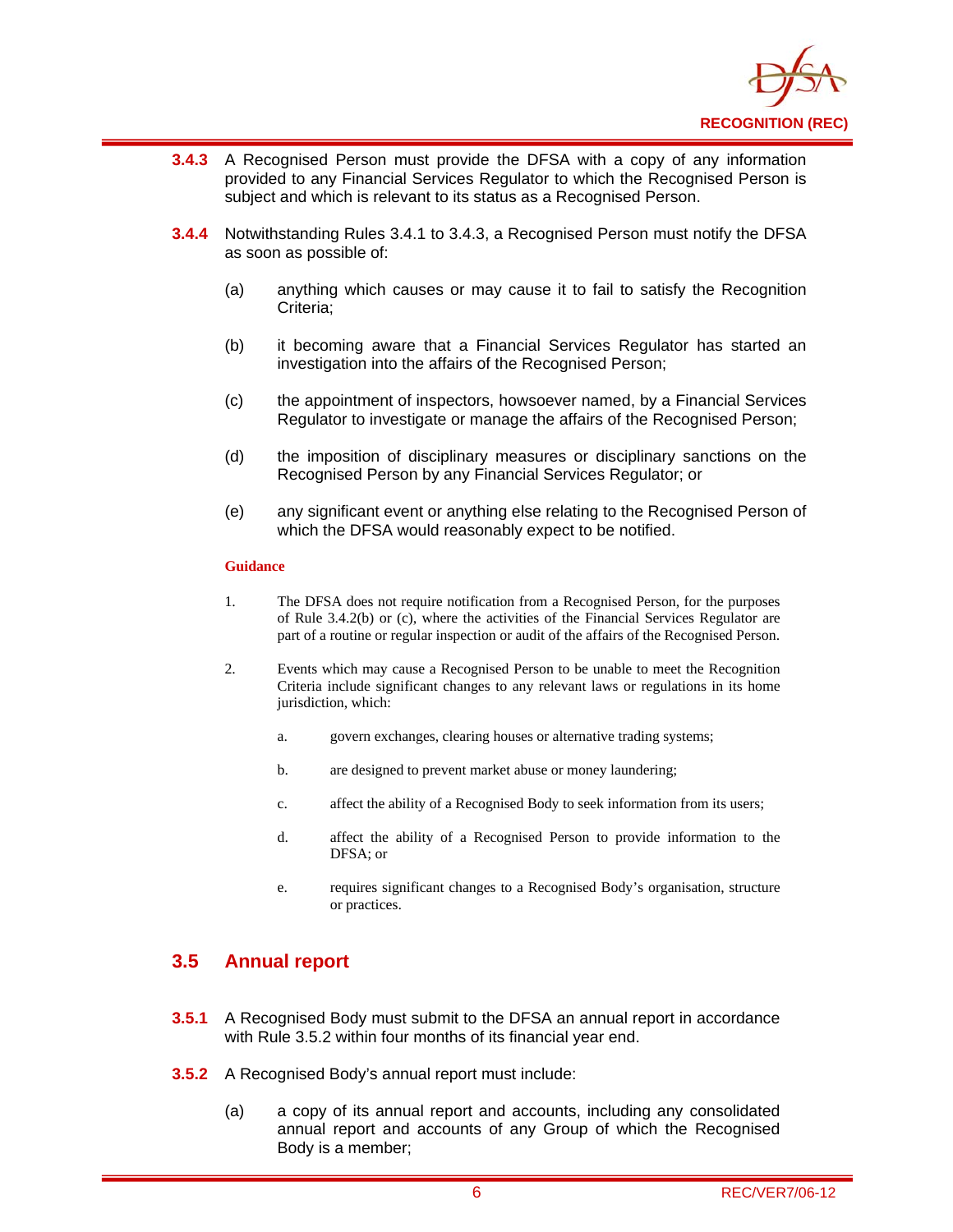

- **3.4.3** A Recognised Person must provide the DFSA with a copy of any information provided to any Financial Services Regulator to which the Recognised Person is subject and which is relevant to its status as a Recognised Person.
- **3.4.4** Notwithstanding Rules 3.4.1 to 3.4.3, a Recognised Person must notify the DFSA as soon as possible of:
	- (a) anything which causes or may cause it to fail to satisfy the Recognition Criteria;
	- (b) it becoming aware that a Financial Services Regulator has started an investigation into the affairs of the Recognised Person;
	- (c) the appointment of inspectors, howsoever named, by a Financial Services Regulator to investigate or manage the affairs of the Recognised Person;
	- (d) the imposition of disciplinary measures or disciplinary sanctions on the Recognised Person by any Financial Services Regulator; or
	- (e) any significant event or anything else relating to the Recognised Person of which the DFSA would reasonably expect to be notified.

#### **Guidance**

- 1. The DFSA does not require notification from a Recognised Person, for the purposes of Rule 3.4.2(b) or (c), where the activities of the Financial Services Regulator are part of a routine or regular inspection or audit of the affairs of the Recognised Person.
- 2. Events which may cause a Recognised Person to be unable to meet the Recognition Criteria include significant changes to any relevant laws or regulations in its home jurisdiction, which:
	- a. govern exchanges, clearing houses or alternative trading systems;
	- b. are designed to prevent market abuse or money laundering;
	- c. affect the ability of a Recognised Body to seek information from its users;
	- d. affect the ability of a Recognised Person to provide information to the DFSA; or
	- e. requires significant changes to a Recognised Body's organisation, structure or practices.

#### **3.5 Annual report**

- **3.5.1** A Recognised Body must submit to the DFSA an annual report in accordance with Rule 3.5.2 within four months of its financial year end.
- **3.5.2** A Recognised Body's annual report must include:
	- (a) a copy of its annual report and accounts, including any consolidated annual report and accounts of any Group of which the Recognised Body is a member;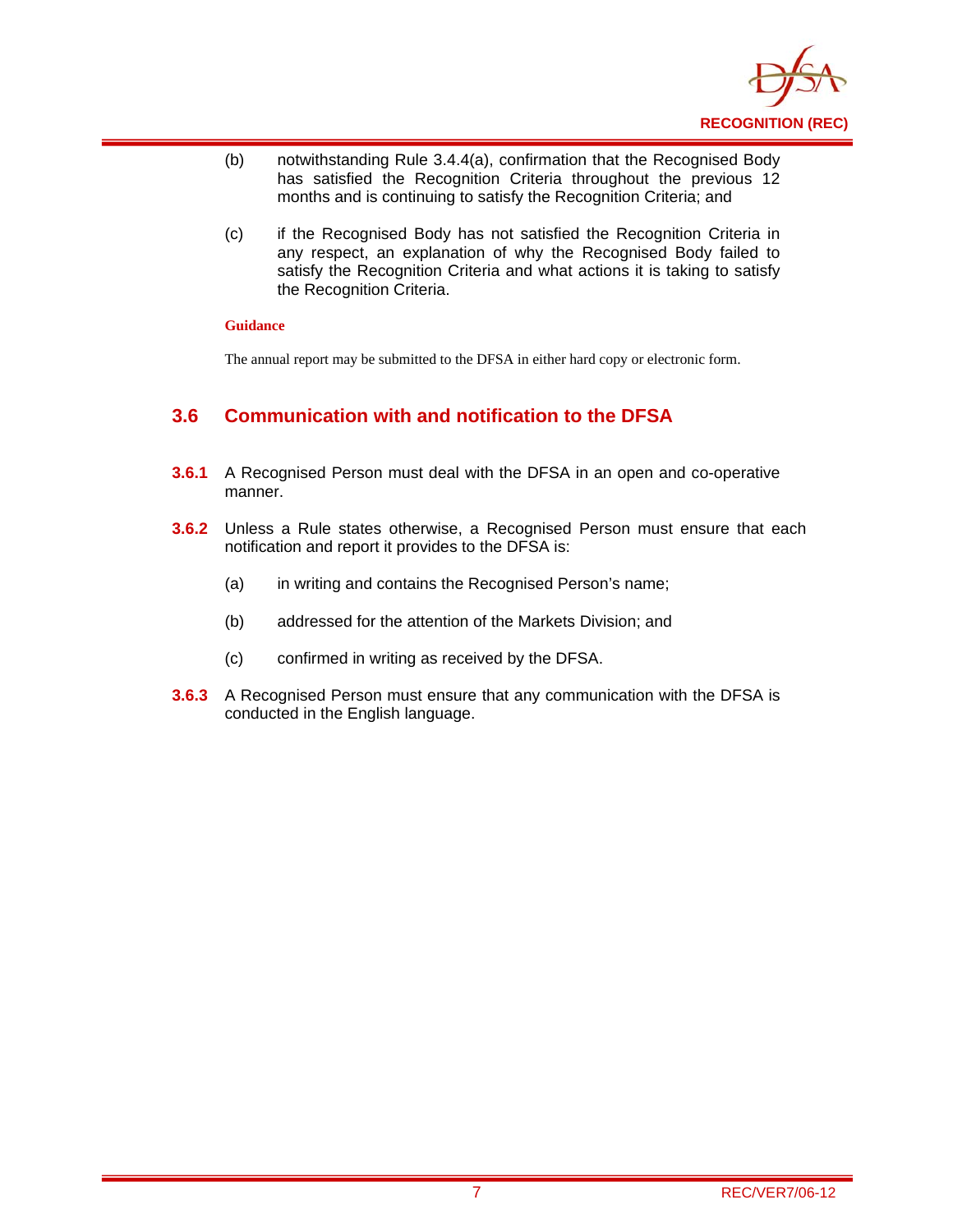

- (b) notwithstanding Rule 3.4.4(a), confirmation that the Recognised Body has satisfied the Recognition Criteria throughout the previous 12 months and is continuing to satisfy the Recognition Criteria; and
- (c) if the Recognised Body has not satisfied the Recognition Criteria in any respect, an explanation of why the Recognised Body failed to satisfy the Recognition Criteria and what actions it is taking to satisfy the Recognition Criteria.

#### **Guidance**

The annual report may be submitted to the DFSA in either hard copy or electronic form.

#### **3.6 Communication with and notification to the DFSA**

- **3.6.1** A Recognised Person must deal with the DFSA in an open and co-operative manner.
- **3.6.2** Unless a Rule states otherwise, a Recognised Person must ensure that each notification and report it provides to the DFSA is:
	- (a) in writing and contains the Recognised Person's name;
	- (b) addressed for the attention of the Markets Division; and
	- (c) confirmed in writing as received by the DFSA.
- **3.6.3** A Recognised Person must ensure that any communication with the DFSA is conducted in the English language.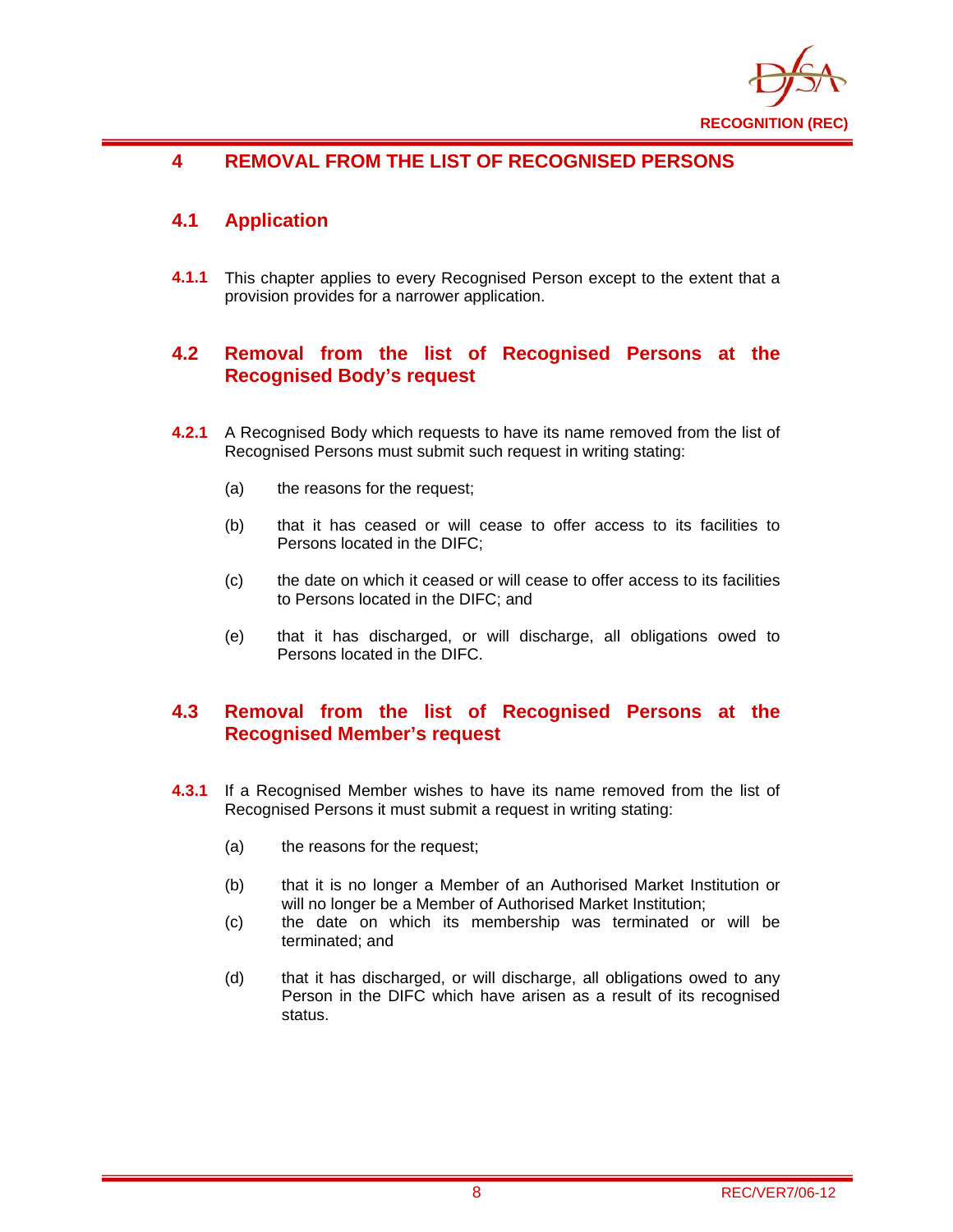

## **4 REMOVAL FROM THE LIST OF RECOGNISED PERSONS**

### **4.1 Application**

**4.1.1** This chapter applies to every Recognised Person except to the extent that a provision provides for a narrower application.

#### **4.2 Removal from the list of Recognised Persons at the Recognised Body's request**

- **4.2.1** A Recognised Body which requests to have its name removed from the list of Recognised Persons must submit such request in writing stating:
	- (a) the reasons for the request;
	- (b) that it has ceased or will cease to offer access to its facilities to Persons located in the DIFC;
	- (c) the date on which it ceased or will cease to offer access to its facilities to Persons located in the DIFC; and
	- (e) that it has discharged, or will discharge, all obligations owed to Persons located in the DIFC.

#### **4.3 Removal from the list of Recognised Persons at the Recognised Member's request**

- **4.3.1** If a Recognised Member wishes to have its name removed from the list of Recognised Persons it must submit a request in writing stating:
	- (a) the reasons for the request;
	- (b) that it is no longer a Member of an Authorised Market Institution or will no longer be a Member of Authorised Market Institution;
	- (c) the date on which its membership was terminated or will be terminated; and
	- (d) that it has discharged, or will discharge, all obligations owed to any Person in the DIFC which have arisen as a result of its recognised status.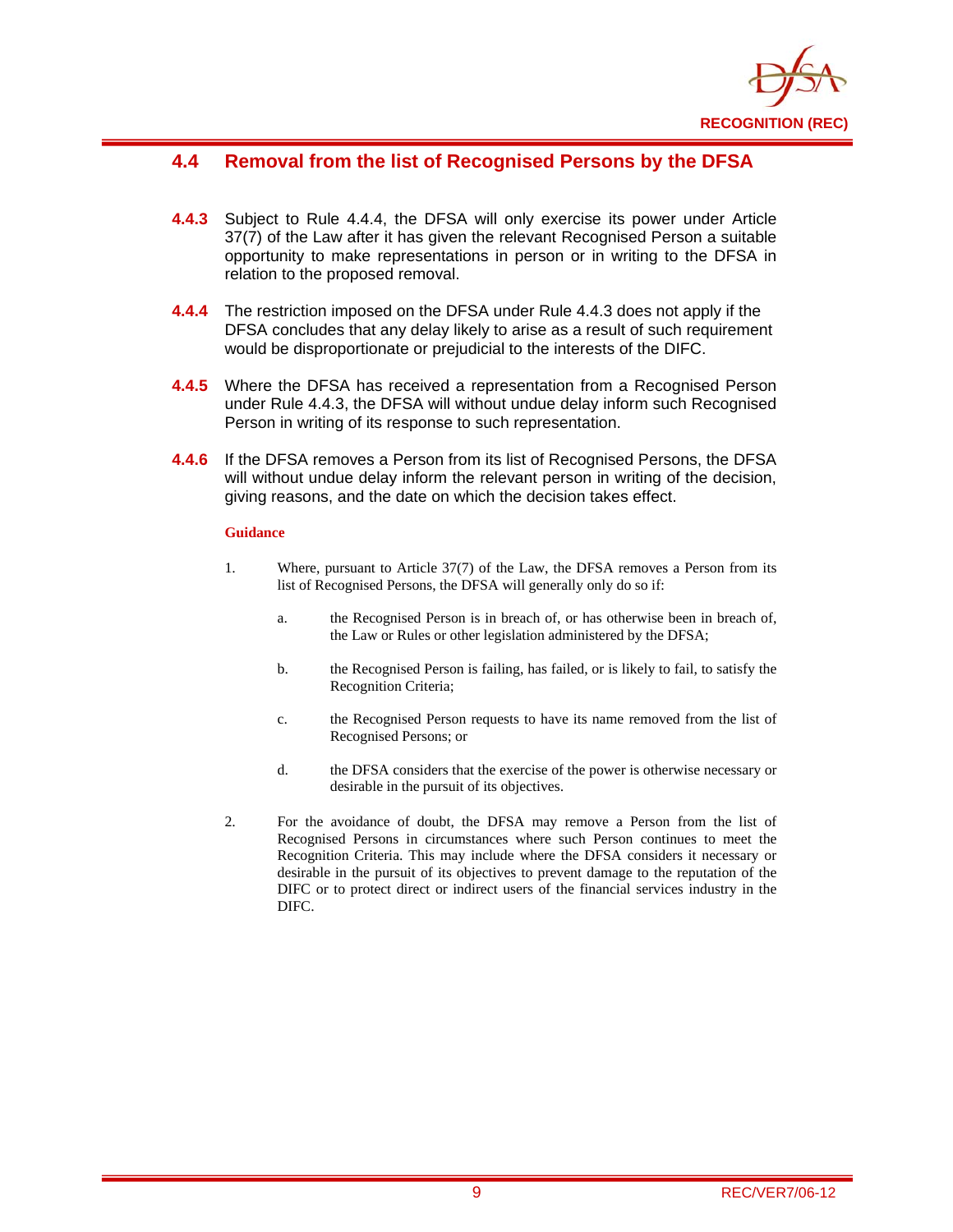

#### **4.4 Removal from the list of Recognised Persons by the DFSA**

- **4.4.3** Subject to Rule 4.4.4, the DFSA will only exercise its power under Article 37(7) of the Law after it has given the relevant Recognised Person a suitable opportunity to make representations in person or in writing to the DFSA in relation to the proposed removal.
- **4.4.4** The restriction imposed on the DFSA under Rule 4.4.3 does not apply if the DFSA concludes that any delay likely to arise as a result of such requirement would be disproportionate or prejudicial to the interests of the DIFC.
- **4.4.5** Where the DFSA has received a representation from a Recognised Person under Rule 4.4.3, the DFSA will without undue delay inform such Recognised Person in writing of its response to such representation.
- **4.4.6** If the DFSA removes a Person from its list of Recognised Persons, the DFSA will without undue delay inform the relevant person in writing of the decision, giving reasons, and the date on which the decision takes effect.

#### **Guidance**

- 1. Where, pursuant to Article 37(7) of the Law, the DFSA removes a Person from its list of Recognised Persons, the DFSA will generally only do so if:
	- a. the Recognised Person is in breach of, or has otherwise been in breach of, the Law or Rules or other legislation administered by the DFSA;
	- b. the Recognised Person is failing, has failed, or is likely to fail, to satisfy the Recognition Criteria;
	- c. the Recognised Person requests to have its name removed from the list of Recognised Persons; or
	- d. the DFSA considers that the exercise of the power is otherwise necessary or desirable in the pursuit of its objectives.
- 2. For the avoidance of doubt, the DFSA may remove a Person from the list of Recognised Persons in circumstances where such Person continues to meet the Recognition Criteria. This may include where the DFSA considers it necessary or desirable in the pursuit of its objectives to prevent damage to the reputation of the DIFC or to protect direct or indirect users of the financial services industry in the DIFC.